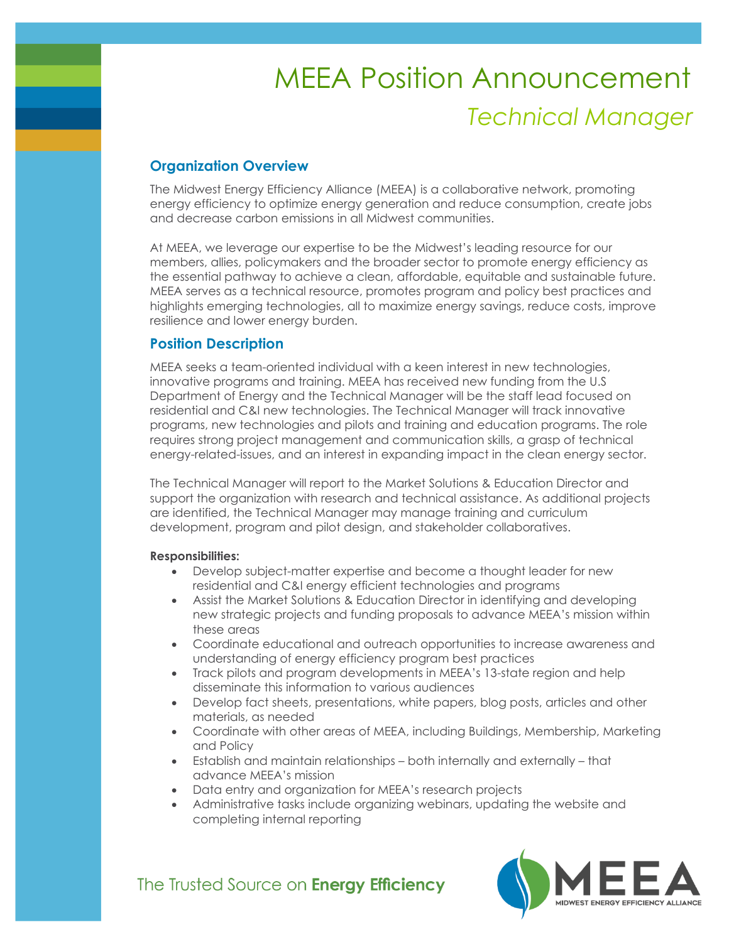# *Technical Manager* MEEA Position Announcement

# **Organization Overview**

The Midwest Energy Efficiency Alliance (MEEA) is a collaborative network, promoting energy efficiency to optimize energy generation and reduce consumption, create jobs and decrease carbon emissions in all Midwest communities.

At MEEA, we leverage our expertise to be the Midwest's leading resource for our members, allies, policymakers and the broader sector to promote energy efficiency as the essential pathway to achieve a clean, affordable, equitable and sustainable future. MEEA serves as a technical resource, promotes program and policy best practices and highlights emerging technologies, all to maximize energy savings, reduce costs, improve resilience and lower energy burden.

# **Position Description**

MEEA seeks a team-oriented individual with a keen interest in new technologies, innovative programs and training. MEEA has received new funding from the U.S Department of Energy and the Technical Manager will be the staff lead focused on residential and C&I new technologies. The Technical Manager will track innovative programs, new technologies and pilots and training and education programs. The role requires strong project management and communication skills, a grasp of technical energy-related-issues, and an interest in expanding impact in the clean energy sector.

The Technical Manager will report to the Market Solutions & Education Director and support the organization with research and technical assistance. As additional projects are identified, the Technical Manager may manage training and curriculum development, program and pilot design, and stakeholder collaboratives.

### **Responsibilities:**

- Develop subject-matter expertise and become a thought leader for new residential and C&I energy efficient technologies and programs
- Assist the Market Solutions & Education Director in identifying and developing new strategic projects and funding proposals to advance MEEA's mission within these areas
- Coordinate educational and outreach opportunities to increase awareness and understanding of energy efficiency program best practices
- Track pilots and program developments in MEEA's 13-state region and help disseminate this information to various audiences
- Develop fact sheets, presentations, white papers, blog posts, articles and other materials, as needed
- Coordinate with other areas of MEEA, including Buildings, Membership, Marketing and Policy
- Establish and maintain relationships both internally and externally that advance MEEA's mission
- Data entry and organization for MEEA's research projects
- Administrative tasks include organizing webinars, updating the website and completing internal reporting